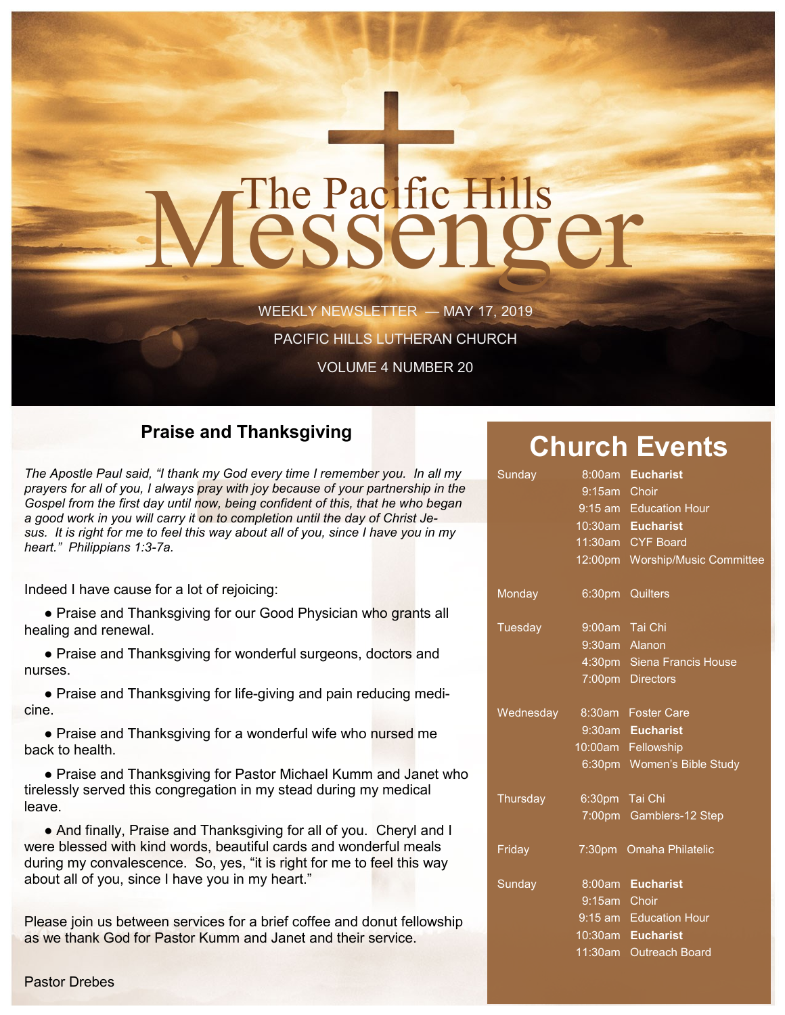# The Pacific Hills<br>CSSCNOCT

WEEKLY NEWSLETTER — MAY 17, 2019

PACIFIC HILLS LUTHERAN CHURCH

VOLUME 4 NUMBER 20

#### **Praise and Thanksgiving**

*The Apostle Paul said, "I thank my God every time I remember you. In all my prayers for all of you, I always pray with joy because of your partnership in the Gospel from the first day until now, being confident of this, that he who began a good work in you will carry it on to completion until the day of Christ Jesus. It is right for me to feel this way about all of you, since I have you in my heart." Philippians 1:3-7a.*

Indeed I have cause for a lot of rejoicing:

• Praise and Thanksgiving for our Good Physician who grants all healing and renewal.

• Praise and Thanksgiving for wonderful surgeons, doctors and nurses.

• Praise and Thanksgiving for life-giving and pain reducing medicine.

• Praise and Thanksgiving for a wonderful wife who nursed me back to health.

 ● Praise and Thanksgiving for Pastor Michael Kumm and Janet who tirelessly served this congregation in my stead during my medical leave.

• And finally, Praise and Thanksgiving for all of you. Cheryl and I were blessed with kind words, beautiful cards and wonderful meals during my convalescence. So, yes, "it is right for me to feel this way about all of you, since I have you in my heart."

Please join us between services for a brief coffee and donut fellowship as we thank God for Pastor Kumm and Janet and their service.

### **Church Events**

| Sunday         |                | 8:00am Eucharist                |
|----------------|----------------|---------------------------------|
|                | 9:15am Choir   |                                 |
|                |                | 9:15 am Education Hour          |
|                |                | 10:30am Eucharist               |
|                |                | 11:30am CYF Board               |
|                |                | 12:00pm Worship/Music Committee |
| Monday         |                | 6:30pm Quilters                 |
| <b>Tuesday</b> |                | 9:00am Tai Chi                  |
|                |                | 9:30am Alanon                   |
|                |                | 4:30pm Siena Francis House      |
|                |                | 7:00pm Directors                |
| Wednesday      |                | 8:30am Foster Care              |
|                |                | 9:30am Eucharist                |
|                |                | 10:00am Fellowship              |
|                |                | 6:30pm Women's Bible Study      |
| Thursday       | 6:30pm Tai Chi |                                 |
|                |                | 7:00pm Gamblers-12 Step         |
| Friday         |                | 7:30pm Omaha Philatelic         |
| Sunday         |                | 8:00am Eucharist                |
|                | 9:15am Choir   |                                 |
|                |                | 9:15 am Education Hour          |
|                |                | 10:30am Eucharist               |
|                |                | 11:30am Outreach Board          |
|                |                |                                 |

Pastor Drebes